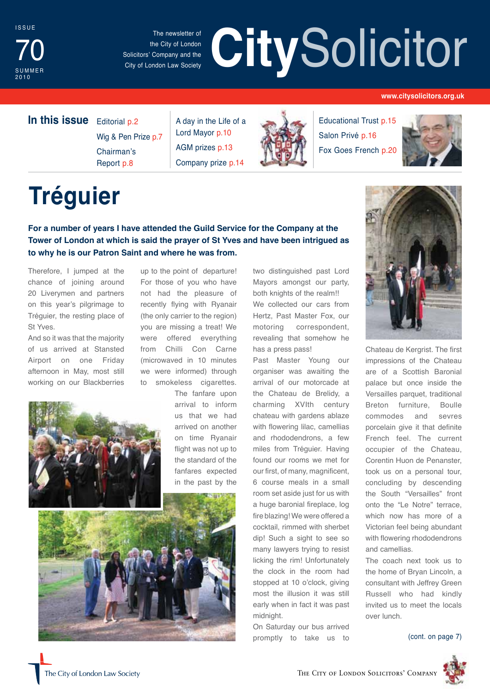

The newsletter of the City of London Solicitors' Company and the City of London Law Society

# The newsletter of the City of London<br>
Solicitors' Company and the City of London Law Society

#### **www.citysolicitors.org.uk**

### **In this issue** Editorial p.2

Wig & Pen Prize p.7 Chairman's Report p.8

A day in the Life of a Lord Mayor p.10 AGM prizes p.13 Company prize p.14



Educational Trust p.15 Salon Privé p.16 Fox Goes French p.20



# **Tréguier**

**For a number of years I have attended the Guild Service for the Company at the Tower of London at which is said the prayer of St Yves and have been intrigued as to why he is our Patron Saint and where he was from.**

Therefore, I jumped at the chance of joining around 20 Liverymen and partners on this year's pilgrimage to Tréguier, the resting place of St Yves.

And so it was that the majority of us arrived at Stansted Airport on one Friday afternoon in May, most still working on our Blackberries



up to the point of departure! For those of you who have not had the pleasure of recently flying with Ryanair (the only carrier to the region) you are missing a treat! We were offered everything from Chilli Con Carne (microwaved in 10 minutes we were informed) through to smokeless cigarettes.

> The fanfare upon arrival to inform us that we had arrived on another on time Ryanair flight was not up to the standard of the fanfares expected in the past by the



two distinguished past Lord Mayors amongst our party, both knights of the realm!! We collected our cars from Hertz, Past Master Fox, our motoring correspondent, revealing that somehow he has a press pass!

Past Master Young our organiser was awaiting the arrival of our motorcade at the Chateau de Brelidy, a charming XVIth century chateau with gardens ablaze with flowering lilac, camellias and rhododendrons, a few miles from Tréguier. Having found our rooms we met for our first, of many, magnificent, 6 course meals in a small room set aside just for us with a huge baronial fireplace, log fire blazing! We were offered a cocktail, rimmed with sherbet dip! Such a sight to see so many lawyers trying to resist licking the rim! Unfortunately the clock in the room had stopped at 10 o'clock, giving most the illusion it was still early when in fact it was past midnight.

On Saturday our bus arrived promptly to take us to



Chateau de Kergrist. The first impressions of the Chateau are of a Scottish Baronial palace but once inside the Versailles parquet, traditional Breton furniture, Boulle commodes and sevres porcelain give it that definite French feel. The current occupier of the Chateau, Corentin Huon de Penanster, took us on a personal tour, concluding by descending the South "Versailles" front onto the "Le Notre" terrace, which now has more of a Victorian feel being abundant with flowering rhododendrons and camellias.

The coach next took us to the home of Bryan Lincoln, a consultant with Jeffrey Green Russell who had kindly invited us to meet the locals over lunch.

(cont. on page 7)

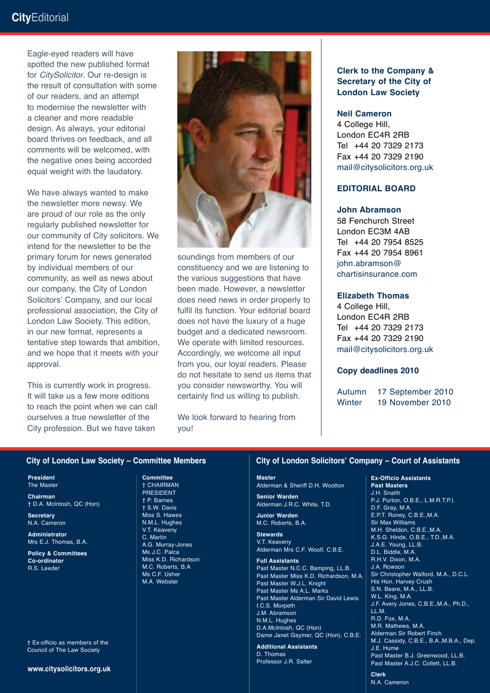### **City**Editorial

Eagle-eyed readers will have spotted the new published format for *CitySolicitor*. Our re-design is the result of consultation with some of our readers, and an attempt to modernise the newsletter with a cleaner and more readable design. As always, your editorial board thrives on feedback, and all comments will be welcomed, with the negative ones being accorded equal weight with the laudatory.

We have always wanted to make the newsletter more newsy. We are proud of our role as the only regularly published newsletter for our community of City solicitors. We intend for the newsletter to be the primary forum for news generated by individual members of our community, as well as news about our company, the City of London Solicitors' Company, and our local professional association, the City of London Law Society. This edition, in our new format, represents a tentative step towards that ambition, and we hope that it meets with your approval.

This is currently work in progress. It will take us a few more editions to reach the point when we can call ourselves a true newsletter of the City profession. But we have taken



soundings from members of our constituency and we are listening to the various suggestions that have been made. However, a newsletter does need news in order properly to fulfil its function. Your editorial board does not have the luxury of a huge budget and a dedicated newsroom. We operate with limited resources. Accordingly, we welcome all input from you, our loyal readers. Please do not hesitate to send us items that you consider newsworthy. You will certainly find us willing to publish.

We look forward to hearing from you!

#### **Clerk to the Company & Secretary of the City of London Law Society**

#### **Neil Cameron**

4 College Hill, London EC4R 2RB Tel +44 20 7329 2173 Fax +44 20 7329 2190 mail@citysolicitors.org.uk

#### **Editorial board**

#### **John Abramson**

58 Fenchurch Street London EC3M 4AB Tel +44 20 7954 8525 Fax +44 20 7954 8961 john.abramson@ chartisinsurance.com

#### **Elizabeth Thomas**

4 College Hill, London EC4R 2RB Tel +44 20 7329 2173 Fax +44 20 7329 2190 mail@citysolicitors.org.uk

#### **Copy deadlines 2010**

Autumn 17 September 2010 Winter 19 November 2010

#### **City of London Law Society – Committee Members**

**President** The Master

**Chairman** † D.A. McIntosh, QC (Hon)

**Secretary** N.A. Cameron

**Administrator** Mrs E.J. Thomas, B.A.

**Policy & Committees Co-ordinator** R.S. Leeder

† Ex-officio as members of the Council of The Law Society

**www.citysolicitors.org.uk**

**Committee** † CHAIRMAN PRESIDENT † P. Barnes † S.W. Davis Miss S. Hawes N.M.L. Hughes V.T. Keaveny C. Martin A.G. Murray-Jones Ms J.C. Palca Miss K.D. Richardson M.C. Roberts, B.A Ms C.F. Usher M.A. Webster

#### **City of London Solicitors' Company – Court of Assistants**

#### **Master**

Alderman & Sheriff D.H. Wootton

**Senior Warden** Alderman J.R.C. White, T.D.

**Junior Warden** M.C. Roberts, B.A.

**Stewards** V.T. Keaveny Alderman Mrs C.F. Woolf, C.B.E.

**Full Assistants**

Past Master N.C.C. Bamping, LL.B. Past Master Miss K.D. Richardson, M.A. Past Master W.J.L. Knight Past Master Ms A.L. Marks Past Master Alderman Sir David Lewis I.C.S. Morpeth J.M. Abramson N.M.L. Hughes D.A.McIntosh, QC (Hon) Dame Janet Gaymer, QC (Hon), C.B.E.

**Additional Assistants** D. Thomas Professor J.R. Salter

#### **Ex-Officio Assistants**

**Past Masters** J.H. Snaith P.J. Purton, O.B.E., L.M.R.T.P.I. D.F. Gray, M.A. E.P.T. Roney, C.B.E.,M.A. Sir Max Williams M.H. Sheldon, C.B.E.,M.A. K.S.G. Hinde, O.B.E., T.D.,M.A. J.A.E. Young, LL.B. D.L. Biddle, M.A. R.H.V. Dixon, M.A. J.A. Rowson Sir Christopher Walford, M.A., D.C.L. His Hon. Harvey Crush S.N. Beare, M.A., LL.B. W.L. King, M.A. J.F. Avery Jones, C.B.E.,M.A., Ph.D., LL.M. R.D. Fox, M.A. M.R. Mathews, M.A. Alderman Sir Robert Finch M.J. Cassidy, C.B.E., B.A.,M.B.A., Dep. J.E. Hume Past Master B.J. Greenwood, LL.B. Past Master A.J.C. Collett, LL.B.

**Clerk** N.A. Cameron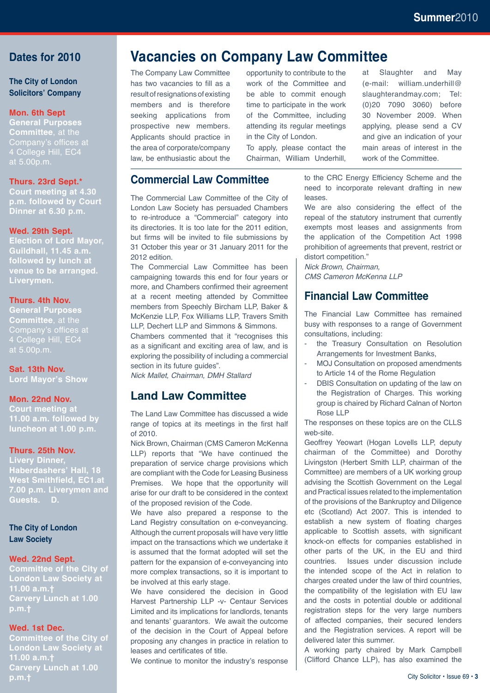#### **Dates for 2010**

#### **The City of London Solicitors' Company**

#### **Mon. 6th Sept**

**General Purposes Committee**, at the Company's offices at 4 College Hill, EC4 at 5.00p.m.

#### **Thurs. 23rd Sept.\***

**Court meeting at 4.30 p.m. followed by Court Dinner at 6.30 p.m.**

#### **Wed. 29th Sept.**

**Election of Lord Mayor, Guildhall, 11.45 a.m. followed by lunch at venue to be arranged. Liverymen.**

#### **Thurs. 4th Nov.**

**General Purposes Committee**, at the Company's offices at 4 College Hill, EC4 at 5.00p.m.

#### **Sat. 13th Nov.**

**Lord Mayor's Show**

#### **Mon. 22nd Nov.**

**Court meeting at 11.00 a.m. followed by luncheon at 1.00 p.m.**

#### **Thurs. 25th Nov.**

**Livery Dinner, Haberdashers' Hall, 18 West Smithfield, EC1.at 7.00 p.m. Liverymen and Guests. D.**

**The City of London Law Society**

#### **Wed. 22nd Sept.**

**Committee of the City of London Law Society at 11.00 a.m.† Carvery Lunch at 1.00** 

#### **Wed. 1st Dec.**

**Committee of the City of London Law Society at 11.00 a.m.† Carvery Lunch at 1.00 p.m.†**

### **Vacancies on Company Law Committee**

The Company Law Committee has two vacancies to fill as a result of resignations of existing members and is therefore seeking applications from prospective new members. Applicants should practice in the area of corporate/company law, be enthusiastic about the opportunity to contribute to the work of the Committee and be able to commit enough time to participate in the work of the Committee, including attending its regular meetings in the City of London.

To apply, please contact the Chairman, William Underhill,

### **Commercial Law Committee**

The Commercial Law Committee of the City of London Law Society has persuaded Chambers to re-introduce a "Commercial" category into its directories. It is too late for the 2011 edition, but firms will be invited to file submissions by 31 October this year or 31 January 2011 for the 2012 edition.

The Commercial Law Committee has been campaigning towards this end for four years or more, and Chambers confirmed their agreement at a recent meeting attended by Committee members from Speechly Bircham LLP, Baker & McKenzie LLP, Fox Williams LLP, Travers Smith LLP, Dechert LLP and Simmons & Simmons. Chambers commented that it "recognises this as a significant and exciting area of law, and is exploring the possibility of including a commercial section in its future quides".

*Nick Mallet, Chairman, DMH Stallard*

### **Land Law Committee**

The Land Law Committee has discussed a wide range of topics at its meetings in the first half of 2010.

Nick Brown, Chairman (CMS Cameron McKenna LLP) reports that "We have continued the preparation of service charge provisions which are compliant with the Code for Leasing Business Premises. We hope that the opportunity will arise for our draft to be considered in the context of the proposed revision of the Code.

We have also prepared a response to the Land Registry consultation on e-conveyancing. Although the current proposals will have very little impact on the transactions which we undertake it is assumed that the format adopted will set the pattern for the expansion of e-conveyancing into more complex transactions, so it is important to be involved at this early stage.

We have considered the decision in Good Harvest Partnership LLP -v- Centaur Services Limited and its implications for landlords, tenants and tenants' guarantors. We await the outcome of the decision in the Court of Appeal before proposing any changes in practice in relation to leases and certificates of title.

We continue to monitor the industry's response

at Slaughter and May (e-mail: william.underhill@ slaughterandmay.com; Tel: (0)20 7090 3060) before 30 November 2009. When applying, please send a CV and give an indication of your main areas of interest in the work of the Committee.

to the CRC Energy Efficiency Scheme and the need to incorporate relevant drafting in new leases.

We are also considering the effect of the repeal of the statutory instrument that currently exempts most leases and assignments from the application of the Competition Act 1998 prohibition of agreements that prevent, restrict or distort competition."

*Nick Brown, Chairman, CMS Cameron McKenna LLP*

### **Financial Law Committee**

The Financial Law Committee has remained busy with responses to a range of Government consultations, including:

- the Treasury Consultation on Resolution Arrangements for Investment Banks,
- MOJ Consultation on proposed amendments to Article 14 of the Rome Regulation
- DBIS Consultation on updating of the law on the Registration of Charges. This working group is chaired by Richard Calnan of Norton Rose LLP

The responses on these topics are on the CLLS web-site.

Geoffrey Yeowart (Hogan Lovells LLP, deputy chairman of the Committee) and Dorothy Livingston (Herbert Smith LLP, chairman of the Committee) are members of a UK working group advising the Scottish Government on the Legal and Practical issues related to the implementation of the provisions of the Bankruptcy and Diligence etc (Scotland) Act 2007. This is intended to establish a new system of floating charges applicable to Scottish assets, with significant knock-on effects for companies established in other parts of the UK, in the EU and third countries. Issues under discussion include the intended scope of the Act in relation to charges created under the law of third countries, the compatibility of the legislation with EU law and the costs in potential double or additional registration steps for the very large numbers of affected companies, their secured lenders and the Registration services. A report will be delivered later this summer.

A working party chaired by Mark Campbell (Clifford Chance LLP), has also examined the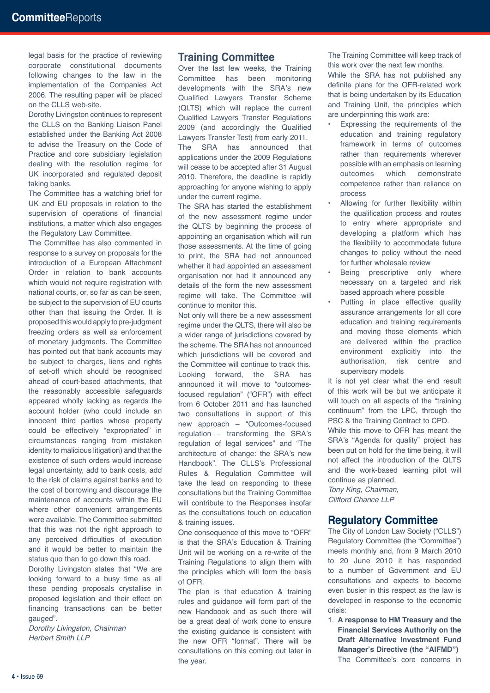legal basis for the practice of reviewing corporate constitutional documents following changes to the law in the implementation of the Companies Act 2006. The resulting paper will be placed on the CLLS web-site.

Dorothy Livingston continues to represent the CLLS on the Banking Liaison Panel established under the Banking Act 2008 to advise the Treasury on the Code of Practice and core subsidiary legislation dealing with the resolution regime for UK incorporated and regulated deposit taking banks.

The Committee has a watching brief for UK and EU proposals in relation to the supervision of operations of financial institutions, a matter which also engages the Regulatory Law Committee.

The Committee has also commented in response to a survey on proposals for the introduction of a European Attachment Order in relation to bank accounts which would not require registration with national courts, or, so far as can be seen, be subject to the supervision of EU courts other than that issuing the Order. It is proposed this would apply to pre-judgment freezing orders as well as enforcement of monetary judgments. The Committee has pointed out that bank accounts may be subject to charges, liens and rights of set-off which should be recognised ahead of court-based attachments, that the reasonably accessible safeguards appeared wholly lacking as regards the account holder (who could include an innocent third parties whose property could be effectively "expropriated" in circumstances ranging from mistaken identity to malicious litigation) and that the existence of such orders would increase legal uncertainty, add to bank costs, add to the risk of claims against banks and to the cost of borrowing and discourage the maintenance of accounts within the EU where other convenient arrangements were available. The Committee submitted that this was not the right approach to any perceived difficulties of execution and it would be better to maintain the status quo than to go down this road.

Dorothy Livingston states that "We are looking forward to a busy time as all these pending proposals crystallise in proposed legislation and their effect on financing transactions can be better gauged".

*Dorothy Livingston, Chairman Herbert Smith LLP*

#### **Training Committee**

Over the last few weeks, the Training Committee has been monitoring developments with the SRA's new Qualified Lawyers Transfer Scheme (QLTS) which will replace the current Qualified Lawyers Transfer Regulations 2009 (and accordingly the Qualified Lawyers Transfer Test) from early 2011. The SRA has announced that applications under the 2009 Regulations will cease to be accepted after 31 August 2010. Therefore, the deadline is rapidly approaching for anyone wishing to apply under the current regime.

The SRA has started the establishment of the new assessment regime under the QLTS by beginning the process of appointing an organisation which will run those assessments. At the time of going to print, the SRA had not announced whether it had appointed an assessment organisation nor had it announced any details of the form the new assessment regime will take. The Committee will continue to monitor this.

Not only will there be a new assessment regime under the QLTS, there will also be a wider range of jurisdictions covered by the scheme. The SRA has not announced which jurisdictions will be covered and the Committee will continue to track this. Looking forward, the SRA has announced it will move to "outcomesfocused regulation" ("OFR") with effect from 6 October 2011 and has launched two consultations in support of this new approach – "Outcomes-focused regulation – transforming the SRA's regulation of legal services" and "The architecture of change: the SRA's new Handbook". The CLLS's Professional Rules & Regulation Committee will take the lead on responding to these consultations but the Training Committee will contribute to the Responses insofar as the consultations touch on education & training issues.

One consequence of this move to "OFR" is that the SRA's Education & Training Unit will be working on a re-write of the Training Regulations to align them with the principles which will form the basis of OFR.

The plan is that education & training rules and guidance will form part of the new Handbook and as such there will be a great deal of work done to ensure the existing guidance is consistent with the new OFR "format". There will be consultations on this coming out later in the year.

The Training Committee will keep track of this work over the next few months.

While the SRA has not published any definite plans for the OFR-related work that is being undertaken by its Education and Training Unit, the principles which are underpinning this work are:

- Expressing the requirements of the education and training regulatory framework in terms of outcomes rather than requirements wherever possible with an emphasis on learning outcomes which demonstrate competence rather than reliance on process
- Allowing for further flexibility within the qualification process and routes to entry where appropriate and developing a platform which has the flexibility to accommodate future changes to policy without the need for further wholesale review
- Being prescriptive only where necessary on a targeted and risk based approach where possible
- Putting in place effective quality assurance arrangements for all core education and training requirements and moving those elements which are delivered within the practice environment explicitly into the authorisation, risk centre and supervisory models

It is not yet clear what the end result of this work will be but we anticipate it will touch on all aspects of the "training continuum" from the LPC, through the PSC & the Training Contract to CPD.

While this move to OFR has meant the SRA's "Agenda for quality" project has been put on hold for the time being, it will not affect the introduction of the QLTS and the work-based learning pilot will continue as planned.

*Tony King, Chairman, Clifford Chance LLP*

#### **Regulatory Committee**

The City of London Law Society ("CLLS") Regulatory Committee (the "Committee") meets monthly and, from 9 March 2010 to 20 June 2010 it has responded to a number of Government and EU consultations and expects to become even busier in this respect as the law is developed in response to the economic crisis:

1. **A response to HM Treasury and the Financial Services Authority on the Draft Alternative Investment Fund Manager's Directive (the "AIFMD")** The Committee's core concerns in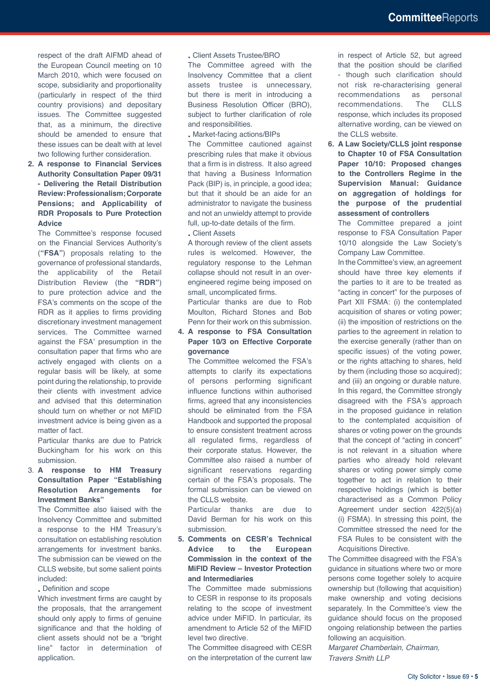respect of the draft AIFMD ahead of the European Council meeting on 10 March 2010, which were focused on scope, subsidiarity and proportionality (particularly in respect of the third country provisions) and depositary issues. The Committee suggested that, as a minimum, the directive should be amended to ensure that these issues can be dealt with at level two following further consideration.

**2. A response to Financial Services Authority Consultation Paper 09/31 - Delivering the Retail Distribution Review: Professionalism; Corporate Pensions; and Applicability of RDR Proposals to Pure Protection Advice**

 The Committee's response focused on the Financial Services Authority's (**"FSA"**) proposals relating to the governance of professional standards, the applicability of the Retail Distribution Review (the **"RDR"**) to pure protection advice and the FSA's comments on the scope of the RDR as it applies to firms providing discretionary investment management services. The Committee warned against the FSA' presumption in the consultation paper that firms who are actively engaged with clients on a regular basis will be likely, at some point during the relationship, to provide their clients with investment advice and advised that this determination should turn on whether or not MiFID investment advice is being given as a matter of fact.

 Particular thanks are due to Patrick Buckingham for his work on this submission.

#### 3. **A response to HM Treasury Consultation Paper "Establishing Resolution Arrangements for Investment Banks"**

 The Committee also liaised with the Insolvency Committee and submitted a response to the HM Treasury's consultation on establishing resolution arrangements for investment banks. The submission can be viewed on the CLLS website, but some salient points included:

• Definition and scope

 Which investment firms are caught by the proposals, that the arrangement should only apply to firms of genuine significance and that the holding of client assets should not be a "bright" line" factor in determination of application.

• Client Assets Trustee/BRO

 The Committee agreed with the Insolvency Committee that a client assets trustee is unnecessary, but there is merit in introducing a Business Resolution Officer (BRO), subject to further clarification of role and responsibilities.

• Market-facing actions/BIPs

 The Committee cautioned against prescribing rules that make it obvious that a firm is in distress. It also agreed that having a Business Information Pack (BIP) is, in principle, a good idea; but that it should be an aide for an administrator to navigate the business and not an unwieldy attempt to provide full, up-to-date details of the firm.

• Client Assets

 A thorough review of the client assets rules is welcomed. However, the regulatory response to the Lehman collapse should not result in an overengineered regime being imposed on small, uncomplicated firms.

 Particular thanks are due to Rob Moulton, Richard Stones and Bob Penn for their work on this submission.

#### **4. A response to FSA Consultation Paper 10/3 on Effective Corporate governance**

 The Committee welcomed the FSA's attempts to clarify its expectations of persons performing significant influence functions within authorised firms, agreed that any inconsistencies should be eliminated from the FSA Handbook and supported the proposal to ensure consistent treatment across all regulated firms, regardless of their corporate status. However, the Committee also raised a number of significant reservations regarding certain of the FSA's proposals. The formal submission can be viewed on the CLLS website.

 Particular thanks are due to David Berman for his work on this submission.

**5. Comments on CESR's Technical Advice to the European Commission in the context of the MiFID Review – Investor Protection and Intermediaries**

 The Committee made submissions to CESR in response to its proposals relating to the scope of investment advice under MiFID. In particular, its amendment to Article 52 of the MiFID level two directive.

 The Committee disagreed with CESR on the interpretation of the current law

in respect of Article 52, but agreed that the position should be clarified - though such clarification should not risk re-characterising general recommendations as personal recommendations. The CLLS response, which includes its proposed alternative wording, can be viewed on the CLLS website.

**6. A Law Society/CLLS joint response to Chapter 10 of FSA Consultation Paper 10/10: Proposed changes to the Controllers Regime in the Supervision Manual: Guidance on aggregation of holdings for the purpose of the prudential assessment of controllers**

 The Committee prepared a joint response to FSA Consultation Paper 10/10 alongside the Law Society's Company Law Committee.

 In the Committee's view, an agreement should have three key elements if the parties to it are to be treated as "acting in concert" for the purposes of Part XII FSMA: (i) the contemplated acquisition of shares or voting power; (ii) the imposition of restrictions on the parties to the agreement in relation to the exercise generally (rather than on specific issues) of the voting power, or the rights attaching to shares, held by them (including those so acquired); and (iii) an ongoing or durable nature. In this regard, the Committee strongly disagreed with the FSA's approach in the proposed guidance in relation to the contemplated acquisition of shares or voting power on the grounds that the concept of "acting in concert" is not relevant in a situation where parties who already hold relevant shares or voting power simply come together to act in relation to their respective holdings (which is better characterised as a Common Policy Agreement under section 422(5)(a) (i) FSMA). In stressing this point, the Committee stressed the need for the FSA Rules to be consistent with the Acquisitions Directive.

The Committee disagreed with the FSA's guidance in situations where two or more persons come together solely to acquire ownership but (following that acquisition) make ownership and voting decisions separately. In the Committee's view the guidance should focus on the proposed ongoing relationship between the parties following an acquisition.

*Margaret Chamberlain, Chairman, Travers Smith LLP*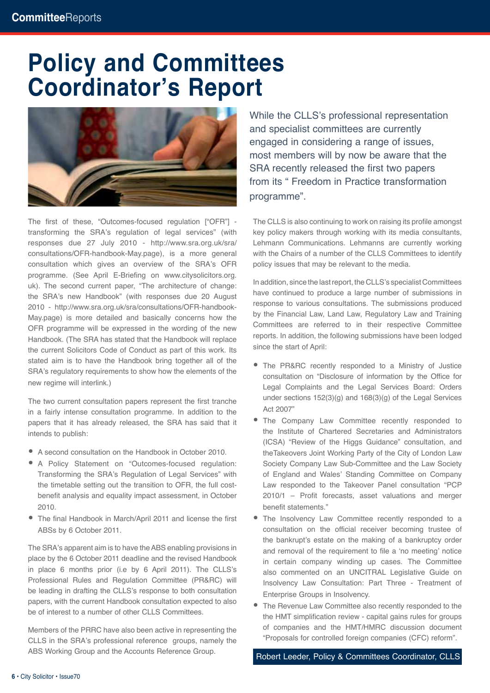# **Policy and Committees Coordinator's Report**



The first of these, "Outcomes-focused regulation ["OFR"] transforming the SRA's regulation of legal services" (with responses due 27 July 2010 - http://www.sra.org.uk/sra/ consultations/OFR-handbook-May.page), is a more general consultation which gives an overview of the SRA's OFR programme. (See April E-Briefing on www.citysolicitors.org. uk). The second current paper, "The architecture of change: the SRA's new Handbook" (with responses due 20 August 2010 - http://www.sra.org.uk/sra/consultations/OFR-handbook-May.page) is more detailed and basically concerns how the OFR programme will be expressed in the wording of the new Handbook. (The SRA has stated that the Handbook will replace the current Solicitors Code of Conduct as part of this work. Its stated aim is to have the Handbook bring together all of the SRA's regulatory requirements to show how the elements of the new regime will interlink.)

The two current consultation papers represent the first tranche in a fairly intense consultation programme. In addition to the papers that it has already released, the SRA has said that it intends to publish:

- A second consultation on the Handbook in October 2010.
- A Policy Statement on "Outcomes-focused regulation: Transforming the SRA's Regulation of Legal Services" with the timetable setting out the transition to OFR, the full costbenefit analysis and equality impact assessment, in October 2010.
- The final Handbook in March/April 2011 and license the first ABSs by 6 October 2011.

The SRA's apparent aim is to have the ABS enabling provisions in place by the 6 October 2011 deadline and the revised Handbook in place 6 months prior (i.e by 6 April 2011). The CLLS's Professional Rules and Regulation Committee (PR&RC) will be leading in drafting the CLLS's response to both consultation papers, with the current Handbook consultation expected to also be of interest to a number of other CLLS Committees.

Members of the PRRC have also been active in representing the CLLS in the SRA's professional reference groups, namely the ABS Working Group and the Accounts Reference Group.

While the CLLS's professional representation and specialist committees are currently engaged in considering a range of issues, most members will by now be aware that the SRA recently released the first two papers from its " Freedom in Practice transformation programme".

The CLLS is also continuing to work on raising its profile amongst key policy makers through working with its media consultants, Lehmann Communications. Lehmanns are currently working with the Chairs of a number of the CLLS Committees to identify policy issues that may be relevant to the media.

In addition, since the last report, the CLLS's specialist Committees have continued to produce a large number of submissions in response to various consultations. The submissions produced by the Financial Law, Land Law, Regulatory Law and Training Committees are referred to in their respective Committee reports. In addition, the following submissions have been lodged since the start of April:

- The PR&RC recently responded to a Ministry of Justice consultation on "Disclosure of information by the Office for Legal Complaints and the Legal Services Board: Orders under sections 152(3)(g) and 168(3)(g) of the Legal Services Act 2007"
- The Company Law Committee recently responded to the Institute of Chartered Secretaries and Administrators (ICSA) "Review of the Higgs Guidance" consultation, and theTakeovers Joint Working Party of the City of London Law Society Company Law Sub-Committee and the Law Society of England and Wales' Standing Committee on Company Law responded to the Takeover Panel consultation "PCP 2010/1 – Profit forecasts, asset valuations and merger benefit statements."
- The Insolvency Law Committee recently responded to a consultation on the official receiver becoming trustee of the bankrupt's estate on the making of a bankruptcy order and removal of the requirement to file a 'no meeting' notice in certain company winding up cases. The Committee also commented on an UNCITRAL Legislative Guide on Insolvency Law Consultation: Part Three - Treatment of Enterprise Groups in Insolvency.
- The Revenue Law Committee also recently responded to the the HMT simplification review - capital gains rules for groups of companies and the HMT/HMRC discussion document "Proposals for controlled foreign companies (CFC) reform".

Robert Leeder, Policy & Committees Coordinator, CLLS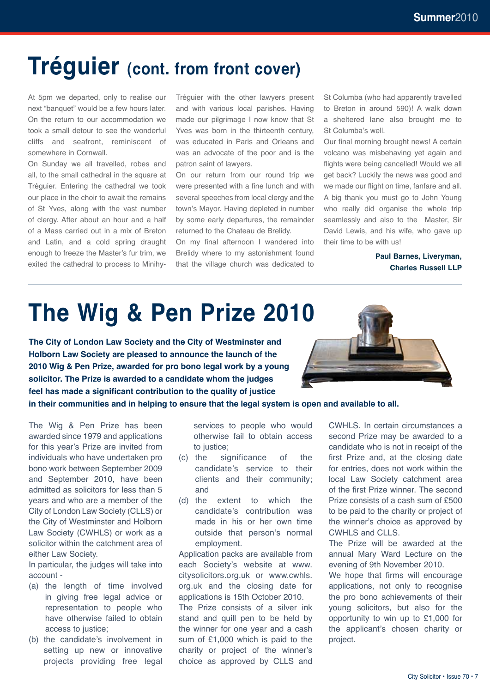### **Tréguier (cont. from front cover)**

At 5pm we departed, only to realise our next "banquet" would be a few hours later. On the return to our accommodation we took a small detour to see the wonderful cliffs and seafront, reminiscent of somewhere in Cornwall.

On Sunday we all travelled, robes and all, to the small cathedral in the square at Tréguier. Entering the cathedral we took our place in the choir to await the remains of St Yves, along with the vast number of clergy. After about an hour and a half of a Mass carried out in a mix of Breton and Latin, and a cold spring draught enough to freeze the Master's fur trim, we exited the cathedral to process to MinihyTréguier with the other lawyers present and with various local parishes. Having made our pilgrimage I now know that St Yves was born in the thirteenth century, was educated in Paris and Orleans and was an advocate of the poor and is the patron saint of lawyers.

On our return from our round trip we were presented with a fine lunch and with several speeches from local clergy and the town's Mayor. Having depleted in number by some early departures, the remainder returned to the Chateau de Brelidy.

On my final afternoon I wandered into Brelidy where to my astonishment found that the village church was dedicated to St Columba (who had apparently travelled to Breton in around 590)! A walk down a sheltered lane also brought me to St Columba's well.

Our final morning brought news! A certain volcano was misbehaving yet again and flights were being cancelled! Would we all get back? Luckily the news was good and we made our flight on time, fanfare and all. A big thank you must go to John Young who really did organise the whole trip seamlessly and also to the Master, Sir David Lewis, and his wife, who gave up their time to be with us!

> **Paul Barnes, Liveryman, Charles Russell LLP**

# **The Wig & Pen Prize 2010**

**The City of London Law Society and the City of Westminster and Holborn Law Society are pleased to announce the launch of the 2010 Wig & Pen Prize, awarded for pro bono legal work by a young solicitor. The Prize is awarded to a candidate whom the judges feel has made a significant contribution to the quality of justice in their communities and in helping to ensure that the legal system is open and available to all.** 

The Wig & Pen Prize has been awarded since 1979 and applications for this year's Prize are invited from individuals who have undertaken pro bono work between September 2009 and September 2010, have been admitted as solicitors for less than 5 years and who are a member of the City of London Law Society (CLLS) or the City of Westminster and Holborn Law Society (CWHLS) or work as a solicitor within the catchment area of either Law Society.

In particular, the judges will take into account -

- (a) the length of time involved in giving free legal advice or representation to people who have otherwise failed to obtain access to justice;
- (b) the candidate's involvement in setting up new or innovative projects providing free legal

services to people who would otherwise fail to obtain access to justice;

- (c) the significance of the candidate's service to their clients and their community; and
- (d) the extent to which the candidate's contribution was made in his or her own time outside that person's normal employment.

Application packs are available from each Society's website at www. citysolicitors.org.uk or www.cwhls. org.uk and the closing date for applications is 15th October 2010.

The Prize consists of a silver ink stand and quill pen to be held by the winner for one year and a cash sum of £1,000 which is paid to the charity or project of the winner's choice as approved by CLLS and

CWHLS. In certain circumstances a second Prize may be awarded to a candidate who is not in receipt of the first Prize and, at the closing date for entries, does not work within the local Law Society catchment area of the first Prize winner. The second Prize consists of a cash sum of £500 to be paid to the charity or project of the winner's choice as approved by CWHLS and CLLS.

The Prize will be awarded at the annual Mary Ward Lecture on the evening of 9th November 2010.

We hope that firms will encourage applications, not only to recognise the pro bono achievements of their young solicitors, but also for the opportunity to win up to £1,000 for the applicant's chosen charity or project.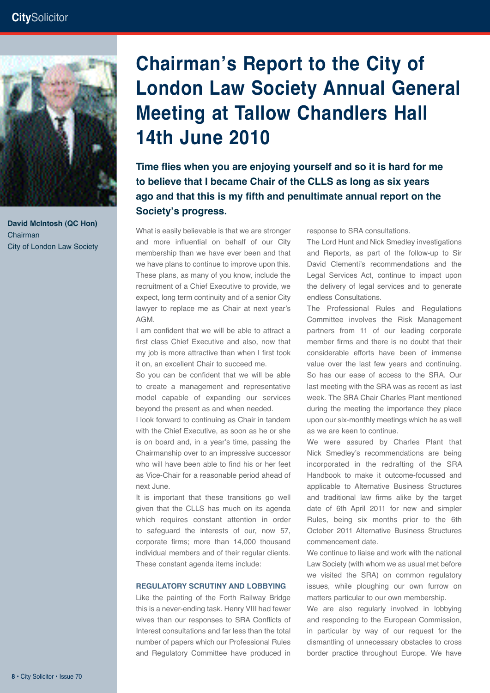

**White TD David McIntosh (QC Hon)** Chainnan<br>City of London Law Society Chairman

### **Chairman's Report to the City of London Law Society Annual General Meeting at Tallow Chandlers Hall 14th June 2010**

**Time flies when you are enjoying yourself and so it is hard for me to believe that I became Chair of the CLLS as long as six years ago and that this is my fifth and penultimate annual report on the Society's progress.** 

What is easily believable is that we are stronger and more influential on behalf of our City membership than we have ever been and that we have plans to continue to improve upon this. These plans, as many of you know, include the recruitment of a Chief Executive to provide, we expect, long term continuity and of a senior City lawyer to replace me as Chair at next year's AGM.

I am confident that we will be able to attract a first class Chief Executive and also, now that my job is more attractive than when I first took it on, an excellent Chair to succeed me.

So you can be confident that we will be able to create a management and representative model capable of expanding our services beyond the present as and when needed.

I look forward to continuing as Chair in tandem with the Chief Executive, as soon as he or she is on board and, in a year's time, passing the Chairmanship over to an impressive successor who will have been able to find his or her feet as Vice-Chair for a reasonable period ahead of next June.

It is important that these transitions go well given that the CLLS has much on its agenda which requires constant attention in order to safeguard the interests of our, now 57, corporate firms; more than 14,000 thousand individual members and of their regular clients. These constant agenda items include:

#### **REGULATORY SCRUTINY AND LOBBYING**

Like the painting of the Forth Railway Bridge this is a never-ending task. Henry VIII had fewer wives than our responses to SRA Conflicts of Interest consultations and far less than the total number of papers which our Professional Rules and Regulatory Committee have produced in response to SRA consultations.

The Lord Hunt and Nick Smedley investigations and Reports, as part of the follow-up to Sir David Clementi's recommendations and the Legal Services Act, continue to impact upon the delivery of legal services and to generate endless Consultations.

The Professional Rules and Regulations Committee involves the Risk Management partners from 11 of our leading corporate member firms and there is no doubt that their considerable efforts have been of immense value over the last few years and continuing. So has our ease of access to the SRA. Our last meeting with the SRA was as recent as last week. The SRA Chair Charles Plant mentioned during the meeting the importance they place upon our six-monthly meetings which he as well as we are keen to continue.

We were assured by Charles Plant that Nick Smedley's recommendations are being incorporated in the redrafting of the SRA Handbook to make it outcome-focussed and applicable to Alternative Business Structures and traditional law firms alike by the target date of 6th April 2011 for new and simpler Rules, being six months prior to the 6th October 2011 Alternative Business Structures commencement date.

We continue to liaise and work with the national Law Society (with whom we as usual met before we visited the SRA) on common regulatory issues, while ploughing our own furrow on matters particular to our own membership.

We are also regularly involved in lobbying and responding to the European Commission, in particular by way of our request for the dismantling of unnecessary obstacles to cross border practice throughout Europe. We have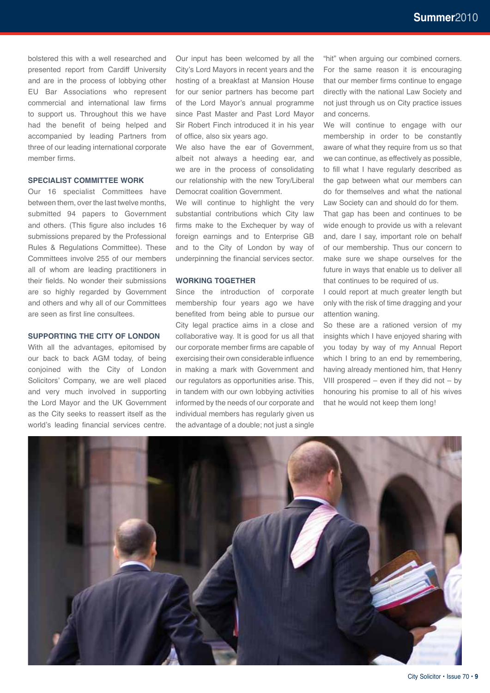bolstered this with a well researched and presented report from Cardiff University and are in the process of lobbying other EU Bar Associations who represent commercial and international law firms to support us. Throughout this we have had the benefit of being helped and accompanied by leading Partners from three of our leading international corporate member firms.

#### **SPECIALIST COMMITTEE WORK**

Our 16 specialist Committees have between them, over the last twelve months, submitted 94 papers to Government and others. (This figure also includes 16 submissions prepared by the Professional Rules & Regulations Committee). These Committees involve 255 of our members all of whom are leading practitioners in their fields. No wonder their submissions are so highly regarded by Government and others and why all of our Committees are seen as first line consultees.

#### **SUPPORTING THE CITY OF LONDON**

With all the advantages, epitomised by our back to back AGM today, of being conjoined with the City of London Solicitors' Company, we are well placed and very much involved in supporting the Lord Mayor and the UK Government as the City seeks to reassert itself as the world's leading financial services centre.

Our input has been welcomed by all the City's Lord Mayors in recent years and the hosting of a breakfast at Mansion House for our senior partners has become part of the Lord Mayor's annual programme since Past Master and Past Lord Mayor Sir Robert Finch introduced it in his year of office, also six years ago.

We also have the ear of Government, albeit not always a heeding ear, and we are in the process of consolidating our relationship with the new Tory/Liberal Democrat coalition Government.

We will continue to highlight the very substantial contributions which City law firms make to the Exchequer by way of foreign earnings and to Enterprise GB and to the City of London by way of underpinning the financial services sector.

#### **WORKING TOGETHER**

Since the introduction of corporate membership four years ago we have benefited from being able to pursue our City legal practice aims in a close and collaborative way. It is good for us all that our corporate member firms are capable of exercising their own considerable influence in making a mark with Government and our regulators as opportunities arise. This, in tandem with our own lobbying activities informed by the needs of our corporate and individual members has regularly given us the advantage of a double; not just a single

"hit" when arguing our combined corners. For the same reason it is encouraging that our member firms continue to engage directly with the national Law Society and not just through us on City practice issues and concerns.

We will continue to engage with our membership in order to be constantly aware of what they require from us so that we can continue, as effectively as possible, to fill what I have regularly described as the gap between what our members can do for themselves and what the national Law Society can and should do for them.

That gap has been and continues to be wide enough to provide us with a relevant and, dare I say, important role on behalf of our membership. Thus our concern to make sure we shape ourselves for the future in ways that enable us to deliver all that continues to be required of us.

I could report at much greater length but only with the risk of time dragging and your attention waning.

So these are a rationed version of my insights which I have enjoyed sharing with you today by way of my Annual Report which I bring to an end by remembering, having already mentioned him, that Henry VIII prospered – even if they did not – by honouring his promise to all of his wives that he would not keep them long!

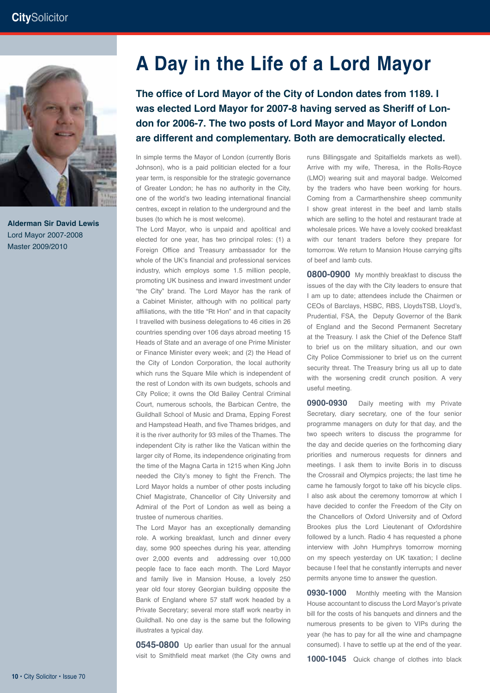

**White TD Alderman Sir David Lewis** Master 2008/2009 Master 2009/2010Lord Mayor 2007-2008

### **A Day in the Life of a Lord Mayor**

**The office of Lord Mayor of the City of London dates from 1189. I was elected Lord Mayor for 2007-8 having served as Sheriff of London for 2006-7. The two posts of Lord Mayor and Mayor of London are different and complementary. Both are democratically elected.** 

In simple terms the Mayor of London (currently Boris Johnson), who is a paid politician elected for a four year term, is responsible for the strategic governance of Greater London; he has no authority in the City, one of the world's two leading international financial centres, except in relation to the underground and the buses (to which he is most welcome).

The Lord Mayor, who is unpaid and apolitical and elected for one year, has two principal roles: (1) a Foreign Office and Treasury ambassador for the whole of the UK's financial and professional services industry, which employs some 1.5 million people, promoting UK business and inward investment under "the City" brand. The Lord Mayor has the rank of a Cabinet Minister, although with no political party affiliations, with the title "Rt Hon" and in that capacity I travelled with business delegations to 46 cities in 26 countries spending over 106 days abroad meeting 15 Heads of State and an average of one Prime Minister or Finance Minister every week; and (2) the Head of the City of London Corporation, the local authority which runs the Square Mile which is independent of the rest of London with its own budgets, schools and City Police; it owns the Old Bailey Central Criminal Court, numerous schools, the Barbican Centre, the Guildhall School of Music and Drama, Epping Forest and Hampstead Heath, and five Thames bridges, and it is the river authority for 93 miles of the Thames. The independent City is rather like the Vatican within the larger city of Rome, its independence originating from the time of the Magna Carta in 1215 when King John needed the City's money to fight the French. The Lord Mayor holds a number of other posts including Chief Magistrate, Chancellor of City University and Admiral of the Port of London as well as being a trustee of numerous charities.

The Lord Mayor has an exceptionally demanding role. A working breakfast, lunch and dinner every day, some 900 speeches during his year, attending over 2,000 events and addressing over 10,000 people face to face each month. The Lord Mayor and family live in Mansion House, a lovely 250 year old four storey Georgian building opposite the Bank of England where 57 staff work headed by a Private Secretary; several more staff work nearby in Guildhall. No one day is the same but the following illustrates a typical day.

**0545-0800** Up earlier than usual for the annual visit to Smithfield meat market (the City owns and

runs Billingsgate and Spitalfields markets as well). Arrive with my wife, Theresa, in the Rolls-Royce (LMO) wearing suit and mayoral badge. Welcomed by the traders who have been working for hours. Coming from a Carmarthenshire sheep community I show great interest in the beef and lamb stalls which are selling to the hotel and restaurant trade at wholesale prices. We have a lovely cooked breakfast with our tenant traders before they prepare for tomorrow. We return to Mansion House carrying gifts of beef and lamb cuts.

**0800-0900** My monthly breakfast to discuss the issues of the day with the City leaders to ensure that I am up to date; attendees include the Chairmen or CEOs of Barclays, HSBC, RBS, LloydsTSB, Lloyd's, Prudential, FSA, the Deputy Governor of the Bank of England and the Second Permanent Secretary at the Treasury. I ask the Chief of the Defence Staff to brief us on the military situation, and our own City Police Commissioner to brief us on the current security threat. The Treasury bring us all up to date with the worsening credit crunch position. A very useful meeting.

**0900-0930** Daily meeting with my Private Secretary, diary secretary, one of the four senior programme managers on duty for that day, and the two speech writers to discuss the programme for the day and decide queries on the forthcoming diary priorities and numerous requests for dinners and meetings. I ask them to invite Boris in to discuss the Crossrail and Olympics projects; the last time he came he famously forgot to take off his bicycle clips. I also ask about the ceremony tomorrow at which I have decided to confer the Freedom of the City on the Chancellors of Oxford University and of Oxford Brookes plus the Lord Lieutenant of Oxfordshire followed by a lunch. Radio 4 has requested a phone interview with John Humphrys tomorrow morning on my speech yesterday on UK taxation; I decline because I feel that he constantly interrupts and never permits anyone time to answer the question.

**0930-1000** Monthly meeting with the Mansion House accountant to discuss the Lord Mayor's private bill for the costs of his banquets and dinners and the numerous presents to be given to VIPs during the year (he has to pay for all the wine and champagne consumed). I have to settle up at the end of the year.

**1000-1045** Quick change of clothes into black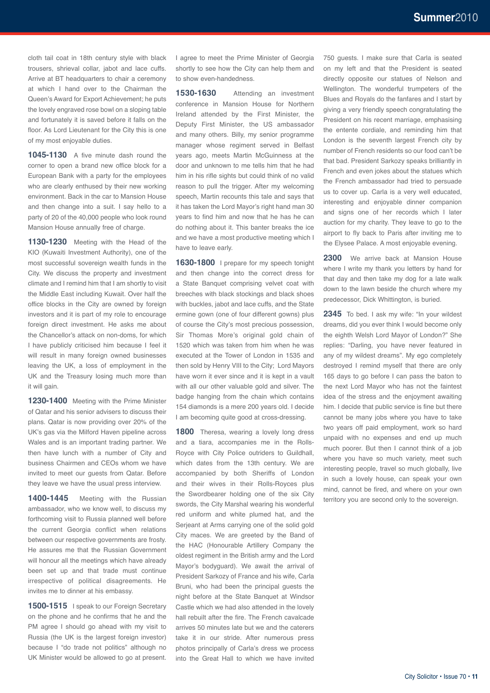cloth tail coat in 18th century style with black trousers, shrieval collar, jabot and lace cuffs. Arrive at BT headquarters to chair a ceremony at which I hand over to the Chairman the Queen's Award for Export Achievement; he puts the lovely engraved rose bowl on a sloping table and fortunately it is saved before it falls on the floor. As Lord Lieutenant for the City this is one of my most enjoyable duties.

**1045-1130** A five minute dash round the corner to open a brand new office block for a European Bank with a party for the employees who are clearly enthused by their new working environment. Back in the car to Mansion House and then change into a suit. I say hello to a party of 20 of the 40,000 people who look round Mansion House annually free of charge.

**1130-1230** Meeting with the Head of the KIO (Kuwaiti Investment Authority), one of the most successful sovereign wealth funds in the City. We discuss the property and investment climate and I remind him that I am shortly to visit the Middle East including Kuwait. Over half the office blocks in the City are owned by foreign investors and it is part of my role to encourage foreign direct investment. He asks me about the Chancellor's attack on non-doms, for which I have publicly criticised him because I feel it will result in many foreign owned businesses leaving the UK, a loss of employment in the UK and the Treasury losing much more than it will gain.

**1230-1400** Meeting with the Prime Minister of Qatar and his senior advisers to discuss their plans. Qatar is now providing over 20% of the UK's gas via the Milford Haven pipeline across Wales and is an important trading partner. We then have lunch with a number of City and business Chairmen and CEOs whom we have invited to meet our guests from Qatar. Before they leave we have the usual press interview.

1400-1445 Meeting with the Russian ambassador, who we know well, to discuss my forthcoming visit to Russia planned well before the current Georgia conflict when relations between our respective governments are frosty. He assures me that the Russian Government will honour all the meetings which have already been set up and that trade must continue irrespective of political disagreements. He invites me to dinner at his embassy.

1500-1515 I speak to our Foreign Secretary on the phone and he confirms that he and the PM agree I should go ahead with my visit to Russia (the UK is the largest foreign investor) because I "do trade not politics" although no UK Minister would be allowed to go at present.

I agree to meet the Prime Minister of Georgia shortly to see how the City can help them and to show even-handedness.

**1530-1630** Attending an investment conference in Mansion House for Northern Ireland attended by the First Minister, the Deputy First Minister, the US ambassador and many others. Billy, my senior programme manager whose regiment served in Belfast years ago, meets Martin McGuinness at the door and unknown to me tells him that he had him in his rifle sights but could think of no valid reason to pull the trigger. After my welcoming speech, Martin recounts this tale and says that it has taken the Lord Mayor's right hand man 30 years to find him and now that he has he can do nothing about it. This banter breaks the ice and we have a most productive meeting which I have to leave early.

1630-1800 I prepare for my speech tonight and then change into the correct dress for a State Banquet comprising velvet coat with breeches with black stockings and black shoes with buckles, jabot and lace cuffs, and the State ermine gown (one of four different gowns) plus of course the City's most precious possession, Sir Thomas More's original gold chain of 1520 which was taken from him when he was executed at the Tower of London in 1535 and then sold by Henry VIII to the City; Lord Mayors have worn it ever since and it is kept in a vault with all our other valuable gold and silver. The badge hanging from the chain which contains 154 diamonds is a mere 200 years old. I decide I am becoming quite good at cross-dressing.

**1800** Theresa, wearing a lovely long dress and a tiara, accompanies me in the Rolls-Royce with City Police outriders to Guildhall, which dates from the 13th century. We are accompanied by both Sheriffs of London and their wives in their Rolls-Royces plus the Swordbearer holding one of the six City swords, the City Marshal wearing his wonderful red uniform and white plumed hat, and the Serjeant at Arms carrying one of the solid gold City maces. We are greeted by the Band of the HAC (Honourable Artillery Company the oldest regiment in the British army and the Lord Mayor's bodyguard). We await the arrival of President Sarkozy of France and his wife, Carla Bruni, who had been the principal guests the night before at the State Banquet at Windsor Castle which we had also attended in the lovely hall rebuilt after the fire. The French cavalcade arrives 50 minutes late but we and the caterers take it in our stride. After numerous press photos principally of Carla's dress we process into the Great Hall to which we have invited

750 guests. I make sure that Carla is seated on my left and that the President is seated directly opposite our statues of Nelson and Wellington. The wonderful trumpeters of the Blues and Royals do the fanfares and I start by giving a very friendly speech congratulating the President on his recent marriage, emphasising the entente cordiale, and reminding him that London is the seventh largest French city by number of French residents so our food can't be that bad. President Sarkozy speaks brilliantly in French and even jokes about the statues which the French ambassador had tried to persuade us to cover up. Carla is a very well educated, interesting and enjoyable dinner companion and signs one of her records which I later auction for my charity. They leave to go to the airport to fly back to Paris after inviting me to the Elysee Palace. A most enjoyable evening.

**2300** We arrive back at Mansion House where I write my thank you letters by hand for that day and then take my dog for a late walk down to the lawn beside the church where my predecessor, Dick Whittington, is buried.

**2345** To bed. I ask my wife: "In your wildest dreams, did you ever think I would become only the eighth Welsh Lord Mayor of London?" She replies: "Darling, you have never featured in any of my wildest dreams". My ego completely destroyed I remind myself that there are only 165 days to go before I can pass the baton to the next Lord Mayor who has not the faintest idea of the stress and the enjoyment awaiting him. I decide that public service is fine but there cannot be many jobs where you have to take two years off paid employment, work so hard unpaid with no expenses and end up much much poorer. But then I cannot think of a job where you have so much variety, meet such interesting people, travel so much globally, live in such a lovely house, can speak your own mind, cannot be fired, and where on your own territory you are second only to the sovereign.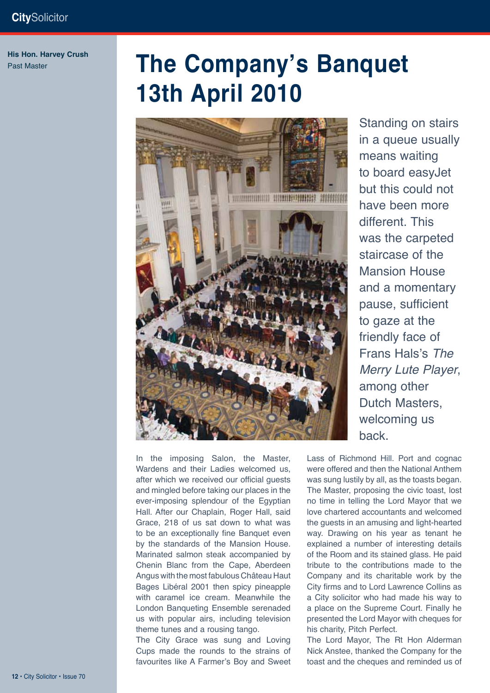**His Hon. Harvey Crush** Past Master

# **The Company's Banquet 13th April 2010**



In the imposing Salon, the Master, Wardens and their Ladies welcomed us, after which we received our official guests and mingled before taking our places in the ever-imposing splendour of the Egyptian Hall. After our Chaplain, Roger Hall, said Grace, 218 of us sat down to what was to be an exceptionally fine Banquet even by the standards of the Mansion House. Marinated salmon steak accompanied by Chenin Blanc from the Cape, Aberdeen Angus with the most fabulous Château Haut Bages Libéral 2001 then spicy pineapple with caramel ice cream. Meanwhile the London Banqueting Ensemble serenaded us with popular airs, including television theme tunes and a rousing tango.

The City Grace was sung and Loving Cups made the rounds to the strains of favourites like A Farmer's Boy and Sweet

Standing on stairs in a queue usually means waiting to board easyJet but this could not have been more different. This was the carpeted staircase of the Mansion House and a momentary pause, sufficient to gaze at the friendly face of Frans Hals's *The Merry Lute Player*, among other Dutch Masters, welcoming us back.

Lass of Richmond Hill. Port and cognac were offered and then the National Anthem was sung lustily by all, as the toasts began. The Master, proposing the civic toast, lost no time in telling the Lord Mayor that we love chartered accountants and welcomed the guests in an amusing and light-hearted way. Drawing on his year as tenant he explained a number of interesting details of the Room and its stained glass. He paid tribute to the contributions made to the Company and its charitable work by the City firms and to Lord Lawrence Collins as a City solicitor who had made his way to a place on the Supreme Court. Finally he presented the Lord Mayor with cheques for his charity, Pitch Perfect.

The Lord Mayor, The Rt Hon Alderman Nick Anstee, thanked the Company for the toast and the cheques and reminded us of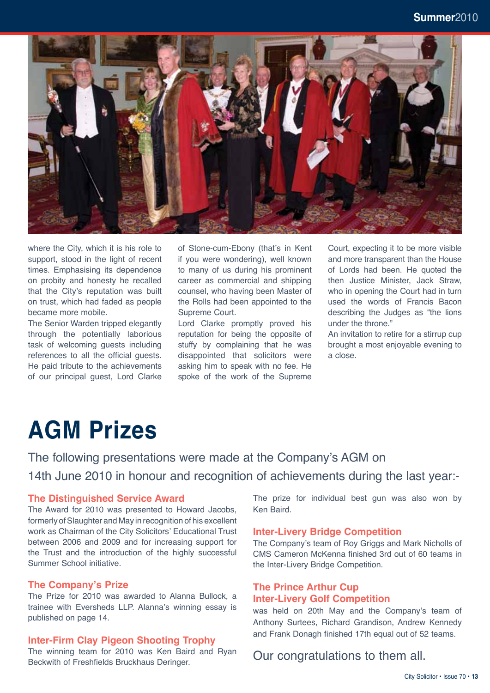

where the City, which it is his role to support, stood in the light of recent times. Emphasising its dependence on probity and honesty he recalled that the City's reputation was built on trust, which had faded as people became more mobile.

The Senior Warden tripped elegantly through the potentially laborious task of welcoming guests including references to all the official guests. He paid tribute to the achievements of our principal guest, Lord Clarke of Stone-cum-Ebony (that's in Kent if you were wondering), well known to many of us during his prominent career as commercial and shipping counsel, who having been Master of the Rolls had been appointed to the Supreme Court.

Lord Clarke promptly proved his reputation for being the opposite of stuffy by complaining that he was disappointed that solicitors were asking him to speak with no fee. He spoke of the work of the Supreme

Court, expecting it to be more visible and more transparent than the House of Lords had been. He quoted the then Justice Minister, Jack Straw, who in opening the Court had in turn used the words of Francis Bacon describing the Judges as "the lions under the throne."

An invitation to retire for a stirrup cup brought a most enjoyable evening to a close.

# **AGM Prizes**

The following presentations were made at the Company's AGM on 14th June 2010 in honour and recognition of achievements during the last year:-

#### **The Distinguished Service Award**

The Award for 2010 was presented to Howard Jacobs, formerly of Slaughter and May in recognition of his excellent work as Chairman of the City Solicitors' Educational Trust between 2006 and 2009 and for increasing support for the Trust and the introduction of the highly successful Summer School initiative.

#### **The Company's Prize**

The Prize for 2010 was awarded to Alanna Bullock, a trainee with Eversheds LLP. Alanna's winning essay is published on page 14.

#### **Inter-Firm Clay Pigeon Shooting Trophy**

The winning team for 2010 was Ken Baird and Ryan Beckwith of Freshfields Bruckhaus Deringer.

The prize for individual best gun was also won by Ken Baird.

#### **Inter-Livery Bridge Competition**

The Company's team of Roy Griggs and Mark Nicholls of CMS Cameron McKenna finished 3rd out of 60 teams in the Inter-Livery Bridge Competition.

#### **The Prince Arthur Cup Inter-Livery Golf Competition**

was held on 20th May and the Company's team of Anthony Surtees, Richard Grandison, Andrew Kennedy and Frank Donagh finished 17th equal out of 52 teams.

### Our congratulations to them all.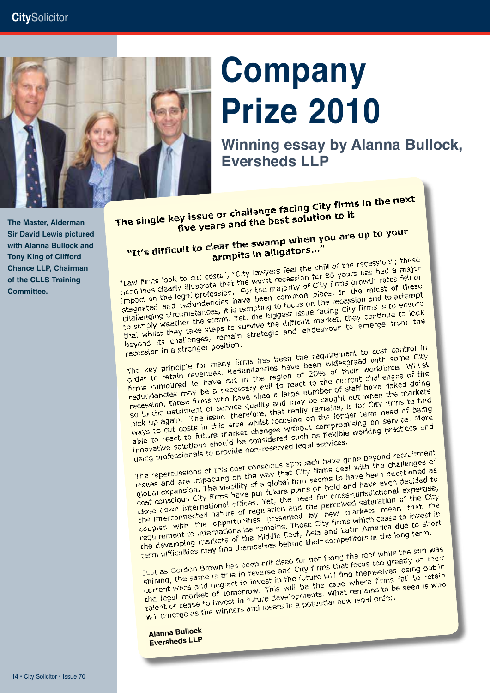

# **Company Prize 2010**

**Winning essay by Alanna Bullock, Eversheds LLP**

**White TD The Master, Alderman**  Master 2008/2009 **with Alanna Bullock and Sir David Lewis pictured Tony King of Clifford Chance LLP, Chairman of the CLLS Training Committee.** 

**Alderman John RC** 

The single key issue or challenge facing City firms in the next<br>The single key issue or challenge facing City firms in the next ey issue or challenge facing City the<br>five years and the best solution to it

### five years and the swamp when you are up to your<br>"It's difficult to clear the swamp when you are up to your" lear the swamp when it

armpits in alligators."<br>"Law firms look to cut costs", "City lawyers feel the chill of the recession"; these<br>"Law firms look to cut costs", "City lawyers feel the chill of the recession for 80 years has had a major "Law firms look to cut costs", "City lawyers feel the chill of the recession"; these<br>headlines clearly illustrate that the worst recession for 80 years has had a major<br>headlines clearly illustrate that the worst recession "Law firms look to cut costs", "City lawyers feel the child" of the shad a major<br>headlines clearly illustrate that the worst recession for 80 years has had a major<br>impact on the legal profession. For the majority of City f "Law firms look to cat our that the worst recession for the majority of city firms growth rates len or<br>leadlines clearly illustrate that the worst recession of the midst of these<br>impact on the legal profession. For the maj headlines clearly illustrated in For the majority of City. In the midst of these<br>impact on the legal profession. For the majority of City. In the midst of these<br>stagnated and redundancies have been common place. In the mid Impact on the legal processions have been common pluces in and to attempt<br>stagnated and redundancies have been common pluces on the recession and to attempt<br>to simply weather the storm. Yet, the biggest issue facing City f stagnated and requirements. It is tempting to focus off the city firms is to ensure<br>challenging circumstances, it is tempting to focus of the facing City firms is to ensure<br>to simply weather the storm. Yet, the biggest iss challenging circumstances, yet, the biggest issue rating to continue to look<br>to simply weather the storm. Yet, the difficult market, they continue to look<br>that whilst they take steps to survive the difficult market, they e

beyond its challenges, lender beyond its challenges, the many firms has been the requirement to cost control in<br>The key principle for many firms has been the requirement to cost control in<br>The key principle for many firms has been widespread with some recession in a stronger pour-<br>The key principle for many firms has been the requirement to cost control in<br>The key principle for many firms has been the requirement workforce. Whilst<br>order to retain revenues. Redundancies The key principle for many firms has been the required with some CRY<br>order to retain revenues. Redundancies have been widespread with some CRY<br>firms rumoured to have cut in the region of 20% of their workforce. Whilst<br>firm The key principle for many Redundancies have been their workforce. Whise<br>order to retain revenues. Redundancies have been of 20% of their workforce, whise<br>firms rumoured to have cut in the region of 20% of their workforce. order to retain revenues. The region of 2006 or current challenges of the<br>firms rumoured to have cut in the region of 2006 current challenges of the<br>redundancies may be a necessary evil to react to the current challenges o Firms rumoured to have seeds a large number of staff have risked dolling<br>redundancies may be a necessary evil to react to the of staff have risked dolling<br>recession, those firms who have shed a large number of staff have t redundancies may be a normal a large number of the markets<br>recession, those firms who have shed a large number out when the markets<br>so to the detriment of service quality and may be caught out when the markets<br>so to the de recession, those minis who could get and may be caught, is for City firms to minis so to the detriment of service quality and may be caughts, is for City firms to minis a so to the detriment of service, that really remains so to the detriment of service, that really lemance longer term need of being<br>pick up again. The issue, therefore, that really lemance longer term need of being<br>ways to cut costs in this area whilst focusing on the longer pick up again. The issue, area whilst focusing on the compromising on service. More<br>ways to cut costs in this area whilst focusing on the compromising on service. More<br>able to react to future market changes without comprom able to react to future market and started such as flexible<br>innovative solutions should be considered legal services.<br>using professionals to provide non-reserved legal services.

innovative solutions shown<br>using professionals to provide non-reserved legal services<br>that gone beyond recruitment<br>The repercussions of this cost conscious approach have gone beyond recruitment<br>The repercussions of this co The repercussionals to process<br>The repercussions of this cost conscious approach have gone beyond recruitment<br>The repercussions of this cost conscious approach have deal with the challenges of<br>Issues and are impacting on t The repercussions of this cost conscious approach have deal with the challenges of<br>issues and are impacting on the way that City firms deal with the challenges of<br>global expansion. The viability of a global firm seems to h The repercussions of this sex that City firms are been questioned as<br>issues and are impacting on the way that City firms seems to have been questioned as<br>global expansion. The viability of a global firm seems on hold and issues and are impacting on the viability of a global firm seems to and have even decided to<br>global expansion. The viability of a global firm seems on hold and have even decided to<br>cost conscious City firms have put future global expansion. The viables<br>cost conscious City firms have put future plans on note and the cost conscious City firms have put future plans on note and for cross-jurisdictional expertise,<br>cost conscious City firms have p cost conscious City in the network of the city<br>close down international offices. Yet, the need for city assumed by<br>the interconnected nature of regulation and the perceived saturation of the City<br>the internationalise prese dose down international office of regulation and the perceives mean that the<br>the interconnected nature of regulation and the perceives mean that the<br>coupled with the opportunities presented by new markets mean that in<br>coup the interconnected nature or presented by hew maximizing case to invest in<br>coupled with the opportunities presented by hew maximizing case to invest in<br>requirement to internationalise remains. Those City firms which cease requirement to internationalise remains. Those City in a Latin America due to she<br>requirement to internationalise remains. Those City is Latin America due to she<br>the developing markets of the Middle East, Asia and Latin Am

the developing markets of themselves behind their compositions.<br>The main difficulties may find themselves behind their composition of while the sun was<br>Just as Gordon Brown has been criticised for not fixing the roof while term difficulties may the come of the sum was<br>Just as Gordon Brown has been criticised for not fixing the roof while the sun was<br>Just as Gordon Brown has been criticised for not fixing the roots too greatly on their<br>shinin Just as Gordon Brown has been criticised for not fixing the cous too greatly on their<br>shining, the same is true in reverse and City firms that focus too greatly on their<br>current woes and neglect to invest in the future wil Just as Gordon Brown has been and City firms that lemselves losing out in<br>shining, the same is true in reverse and City firms that themselves losing out in<br>current woes and neglect to invest in the future will find themsel shining, the same is true in the future will line there firms fail to retain<br>current woes and neglect to invest in the future will line case where firms fail to retain<br>the legal market of tomorrow. This will be the case wh the legal market of tomorrow. This will be that remains to be<br>talent or cease to invest in future developments. What remains to be<br>talent or cease to invest in future developments. What remains to be<br>will emerge as the win

**Alanna Bullock Eversheds LLP**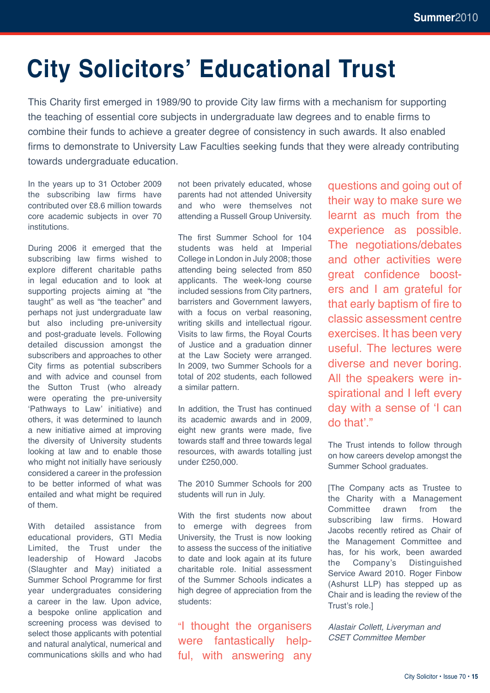# **City Solicitors' Educational Trust**

This Charity first emerged in 1989/90 to provide City law firms with a mechanism for supporting the teaching of essential core subjects in undergraduate law degrees and to enable firms to combine their funds to achieve a greater degree of consistency in such awards. It also enabled firms to demonstrate to University Law Faculties seeking funds that they were already contributing towards undergraduate education.

In the years up to 31 October 2009 the subscribing law firms have contributed over £8.6 million towards core academic subjects in over 70 institutions.

During 2006 it emerged that the subscribing law firms wished to explore different charitable paths in legal education and to look at supporting projects aiming at "the taught" as well as "the teacher" and perhaps not just undergraduate law but also including pre-university and post-graduate levels. Following detailed discussion amongst the subscribers and approaches to other City firms as potential subscribers and with advice and counsel from the Sutton Trust (who already were operating the pre-university 'Pathways to Law' initiative) and others, it was determined to launch a new initiative aimed at improving the diversity of University students looking at law and to enable those who might not initially have seriously considered a career in the profession to be better informed of what was entailed and what might be required of them.

With detailed assistance from educational providers, GTI Media Limited, the Trust under the leadership of Howard Jacobs (Slaughter and May) initiated a Summer School Programme for first year undergraduates considering a career in the law. Upon advice, a bespoke online application and screening process was devised to select those applicants with potential and natural analytical, numerical and communications skills and who had not been privately educated, whose parents had not attended University and who were themselves not attending a Russell Group University.

The first Summer School for 104 students was held at Imperial College in London in July 2008; those attending being selected from 850 applicants. The week-long course included sessions from City partners, barristers and Government lawyers, with a focus on verbal reasoning, writing skills and intellectual rigour. Visits to law firms, the Royal Courts of Justice and a graduation dinner at the Law Society were arranged. In 2009, two Summer Schools for a total of 202 students, each followed a similar pattern.

In addition, the Trust has continued its academic awards and in 2009, eight new grants were made, five towards staff and three towards legal resources, with awards totalling just under £250,000.

The 2010 Summer Schools for 200 students will run in July.

With the first students now about to emerge with degrees from University, the Trust is now looking to assess the success of the initiative to date and look again at its future charitable role. Initial assessment of the Summer Schools indicates a high degree of appreciation from the students:

"I thought the organisers were fantastically helpful, with answering any questions and going out of their way to make sure we learnt as much from the experience as possible. The negotiations/debates and other activities were great confidence boosters and I am grateful for that early baptism of fire to classic assessment centre exercises. It has been very useful. The lectures were diverse and never boring. All the speakers were inspirational and I left every day with a sense of 'I can do that'."

The Trust intends to follow through on how careers develop amongst the Summer School graduates.

[The Company acts as Trustee to the Charity with a Management Committee drawn from the subscribing law firms. Howard Jacobs recently retired as Chair of the Management Committee and has, for his work, been awarded the Company's Distinguished Service Award 2010. Roger Finbow (Ashurst LLP) has stepped up as Chair and is leading the review of the Trust's role.]

*Alastair Collett, Liveryman and CSET Committee Member*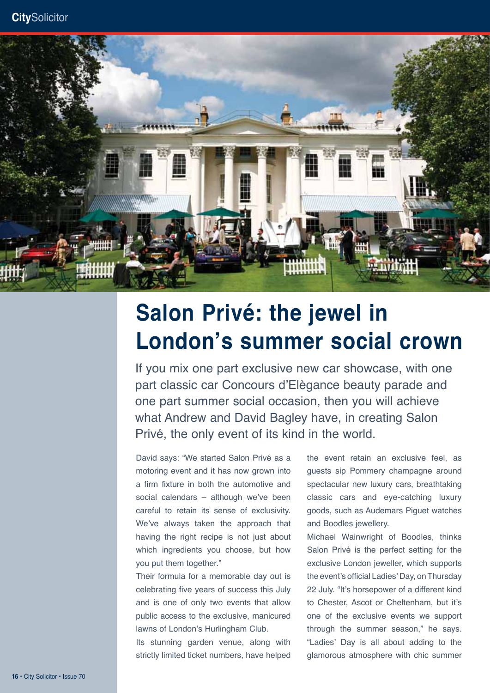

# **Salon Privé: the jewel in London's summer social crown**

If you mix one part exclusive new car showcase, with one part classic car Concours d'Elègance beauty parade and one part summer social occasion, then you will achieve what Andrew and David Bagley have, in creating Salon Privé, the only event of its kind in the world.

David says: "We started Salon Privé as a motoring event and it has now grown into a firm fixture in both the automotive and social calendars – although we've been careful to retain its sense of exclusivity. We've always taken the approach that having the right recipe is not just about which ingredients you choose, but how you put them together."

Their formula for a memorable day out is celebrating five years of success this July and is one of only two events that allow public access to the exclusive, manicured lawns of London's Hurlingham Club.

Its stunning garden venue, along with strictly limited ticket numbers, have helped the event retain an exclusive feel, as guests sip Pommery champagne around spectacular new luxury cars, breathtaking classic cars and eye-catching luxury goods, such as Audemars Piguet watches and Boodles jewellery.

Michael Wainwright of Boodles, thinks Salon Privé is the perfect setting for the exclusive London jeweller, which supports the event's official Ladies' Day, on Thursday 22 July. "It's horsepower of a different kind to Chester, Ascot or Cheltenham, but it's one of the exclusive events we support through the summer season," he says. "Ladies' Day is all about adding to the glamorous atmosphere with chic summer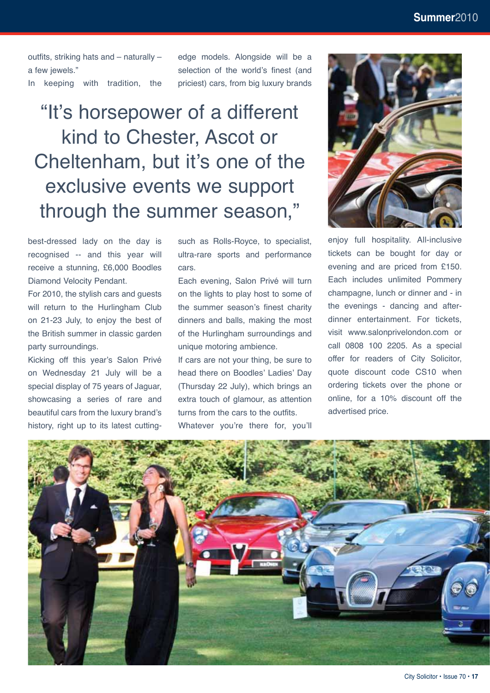outfits, striking hats and – naturally – a few jewels."

In keeping with tradition, the

edge models. Alongside will be a selection of the world's finest (and priciest) cars, from big luxury brands

"It's horsepower of a different kind to Chester, Ascot or Cheltenham, but it's one of the exclusive events we support through the summer season,"

best-dressed lady on the day is recognised -- and this year will receive a stunning, £6,000 Boodles Diamond Velocity Pendant.

For 2010, the stylish cars and guests will return to the Hurlingham Club on 21-23 July, to enjoy the best of the British summer in classic garden party surroundings.

Kicking off this year's Salon Privé on Wednesday 21 July will be a special display of 75 years of Jaguar, showcasing a series of rare and beautiful cars from the luxury brand's history, right up to its latest cuttingsuch as Rolls-Royce, to specialist, ultra-rare sports and performance cars.

Each evening, Salon Privé will turn on the lights to play host to some of the summer season's finest charity dinners and balls, making the most of the Hurlingham surroundings and unique motoring ambience.

If cars are not your thing, be sure to head there on Boodles' Ladies' Day (Thursday 22 July), which brings an extra touch of glamour, as attention turns from the cars to the outfits. Whatever you're there for, you'll



enjoy full hospitality. All-inclusive tickets can be bought for day or evening and are priced from £150. Each includes unlimited Pommery champagne, lunch or dinner and - in the evenings - dancing and afterdinner entertainment. For tickets, visit www.salonprivelondon.com or call 0808 100 2205. As a special offer for readers of City Solicitor, quote discount code CS10 when ordering tickets over the phone or online, for a 10% discount off the advertised price.

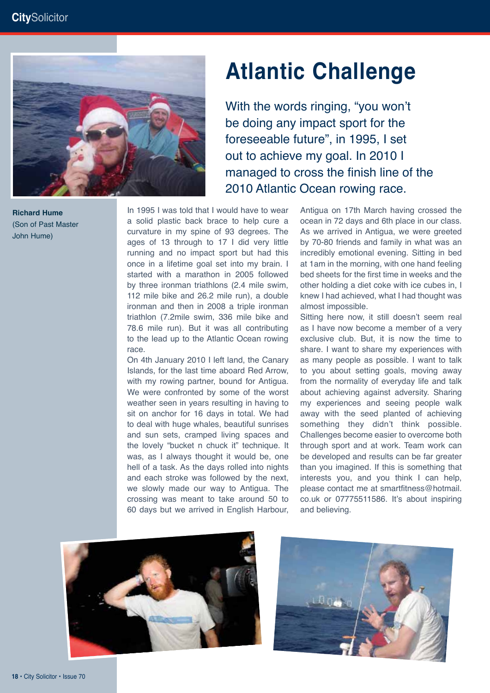

**Alderman Hume** (Son of Past Master John Hume)<br>2008

# **Atlantic Challenge**

With the words ringing, "you won't be doing any impact sport for the foreseeable future", in 1995, I set out to achieve my goal. In 2010 I managed to cross the finish line of the 2010 Atlantic Ocean rowing race.

In 1995 I was told that I would have to wear a solid plastic back brace to help cure a curvature in my spine of 93 degrees. The ages of 13 through to 17 I did very little running and no impact sport but had this once in a lifetime goal set into my brain. I started with a marathon in 2005 followed by three ironman triathlons (2.4 mile swim, 112 mile bike and 26.2 mile run), a double ironman and then in 2008 a triple ironman triathlon (7.2mile swim, 336 mile bike and 78.6 mile run). But it was all contributing to the lead up to the Atlantic Ocean rowing race.

On 4th January 2010 I left land, the Canary Islands, for the last time aboard Red Arrow, with my rowing partner, bound for Antigua. We were confronted by some of the worst weather seen in years resulting in having to sit on anchor for 16 days in total. We had to deal with huge whales, beautiful sunrises and sun sets, cramped living spaces and the lovely "bucket n chuck it" technique. It was, as I always thought it would be, one hell of a task. As the days rolled into nights and each stroke was followed by the next, we slowly made our way to Antigua. The crossing was meant to take around 50 to 60 days but we arrived in English Harbour, Antigua on 17th March having crossed the ocean in 72 days and 6th place in our class. As we arrived in Antigua, we were greeted by 70-80 friends and family in what was an incredibly emotional evening. Sitting in bed at 1am in the morning, with one hand feeling bed sheets for the first time in weeks and the other holding a diet coke with ice cubes in, I knew I had achieved, what I had thought was almost impossible.

Sitting here now, it still doesn't seem real as I have now become a member of a very exclusive club. But, it is now the time to share. I want to share my experiences with as many people as possible. I want to talk to you about setting goals, moving away from the normality of everyday life and talk about achieving against adversity. Sharing my experiences and seeing people walk away with the seed planted of achieving something they didn't think possible. Challenges become easier to overcome both through sport and at work. Team work can be developed and results can be far greater than you imagined. If this is something that interests you, and you think I can help, please contact me at smartfitness@hotmail. co.uk or 07775511586. It's about inspiring and believing.



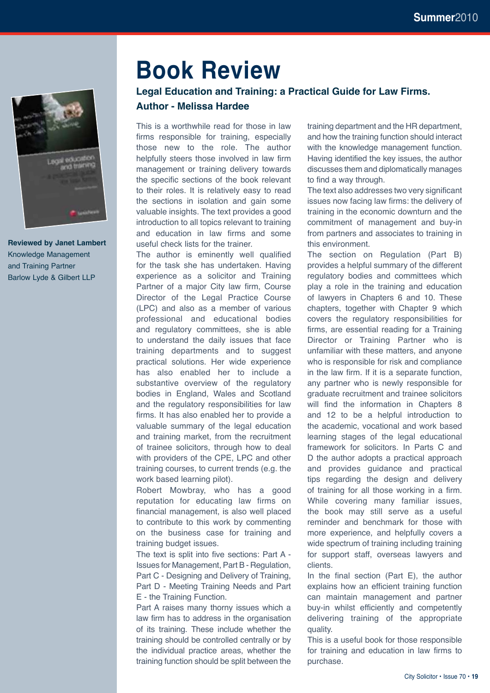

**Reviewed by Janet Lambert** Knowledge Management and Training Partner Barlow Lyde & Gilbert LLP

### **Book Review**

### **Legal Education and Training: a Practical Guide for Law Firms. Author - Melissa Hardee**

This is a worthwhile read for those in law firms responsible for training, especially those new to the role. The author helpfully steers those involved in law firm management or training delivery towards the specific sections of the book relevant to their roles. It is relatively easy to read the sections in isolation and gain some valuable insights. The text provides a good introduction to all topics relevant to training and education in law firms and some useful check lists for the trainer.

The author is eminently well qualified for the task she has undertaken. Having experience as a solicitor and Training Partner of a major City law firm, Course Director of the Legal Practice Course (LPC) and also as a member of various professional and educational bodies and regulatory committees, she is able to understand the daily issues that face training departments and to suggest practical solutions. Her wide experience has also enabled her to include a substantive overview of the regulatory bodies in England, Wales and Scotland and the regulatory responsibilities for law firms. It has also enabled her to provide a valuable summary of the legal education and training market, from the recruitment of trainee solicitors, through how to deal with providers of the CPE, LPC and other training courses, to current trends (e.g. the work based learning pilot).

Robert Mowbray, who has a good reputation for educating law firms on financial management, is also well placed to contribute to this work by commenting on the business case for training and training budget issues.

The text is split into five sections: Part A - Issues for Management, Part B - Regulation, Part C - Designing and Delivery of Training, Part D - Meeting Training Needs and Part E - the Training Function.

Part A raises many thorny issues which a law firm has to address in the organisation of its training. These include whether the training should be controlled centrally or by the individual practice areas, whether the training function should be split between the

training department and the HR department, and how the training function should interact with the knowledge management function. Having identified the key issues, the author discusses them and diplomatically manages to find a way through.

The text also addresses two very significant issues now facing law firms: the delivery of training in the economic downturn and the commitment of management and buy-in from partners and associates to training in this environment.

The section on Regulation (Part B) provides a helpful summary of the different regulatory bodies and committees which play a role in the training and education of lawyers in Chapters 6 and 10. These chapters, together with Chapter 9 which covers the regulatory responsibilities for firms, are essential reading for a Training Director or Training Partner who is unfamiliar with these matters, and anyone who is responsible for risk and compliance in the law firm. If it is a separate function, any partner who is newly responsible for graduate recruitment and trainee solicitors will find the information in Chapters 8 and 12 to be a helpful introduction to the academic, vocational and work based learning stages of the legal educational framework for solicitors. In Parts C and D the author adopts a practical approach and provides guidance and practical tips regarding the design and delivery of training for all those working in a firm. While covering many familiar issues, the book may still serve as a useful reminder and benchmark for those with more experience, and helpfully covers a wide spectrum of training including training for support staff, overseas lawyers and clients.

In the final section (Part E), the author explains how an efficient training function can maintain management and partner buy-in whilst efficiently and competently delivering training of the appropriate quality.

This is a useful book for those responsible for training and education in law firms to purchase.